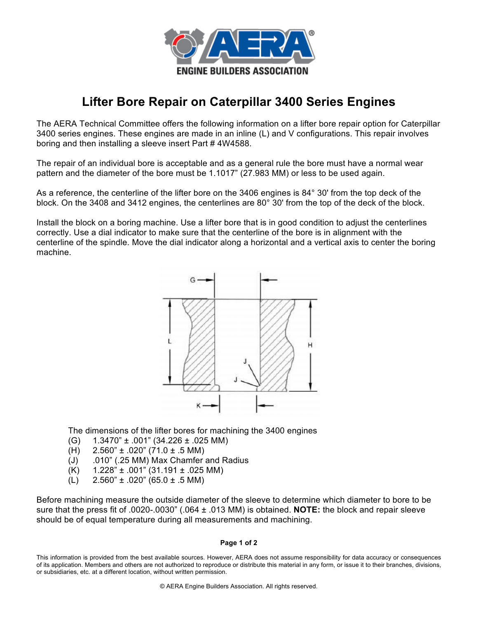

## **Lifter Bore Repair on Caterpillar 3400 Series Engines**

The AERA Technical Committee offers the following information on a lifter bore repair option for Caterpillar 3400 series engines. These engines are made in an inline (L) and V configurations. This repair involves boring and then installing a sleeve insert Part # 4W4588.

The repair of an individual bore is acceptable and as a general rule the bore must have a normal wear pattern and the diameter of the bore must be 1.1017" (27.983 MM) or less to be used again.

As a reference, the centerline of the lifter bore on the 3406 engines is 84° 30' from the top deck of the block. On the 3408 and 3412 engines, the centerlines are 80° 30' from the top of the deck of the block.

Install the block on a boring machine. Use a lifter bore that is in good condition to adjust the centerlines correctly. Use a dial indicator to make sure that the centerline of the bore is in alignment with the centerline of the spindle. Move the dial indicator along a horizontal and a vertical axis to center the boring machine.



The dimensions of the lifter bores for machining the 3400 engines

- (G) 1.3470" ± .001" (34.226 ± .025 MM)
- (H)  $2.560" \pm .020"$  (71.0  $\pm .5$  MM)
- (J) .010" (.25 MM) Max Chamfer and Radius
- $(K)$  1.228"  $\pm$  .001" (31.191  $\pm$  .025 MM)
- (L)  $2.560" \pm .020"$  (65.0  $\pm .5$  MM)

Before machining measure the outside diameter of the sleeve to determine which diameter to bore to be sure that the press fit of .0020-.0030" (.064 ± .013 MM) is obtained. **NOTE:** the block and repair sleeve should be of equal temperature during all measurements and machining.

## **Page 1 of 2**

This information is provided from the best available sources. However, AERA does not assume responsibility for data accuracy or consequences of its application. Members and others are not authorized to reproduce or distribute this material in any form, or issue it to their branches, divisions, or subsidiaries, etc. at a different location, without written permission.